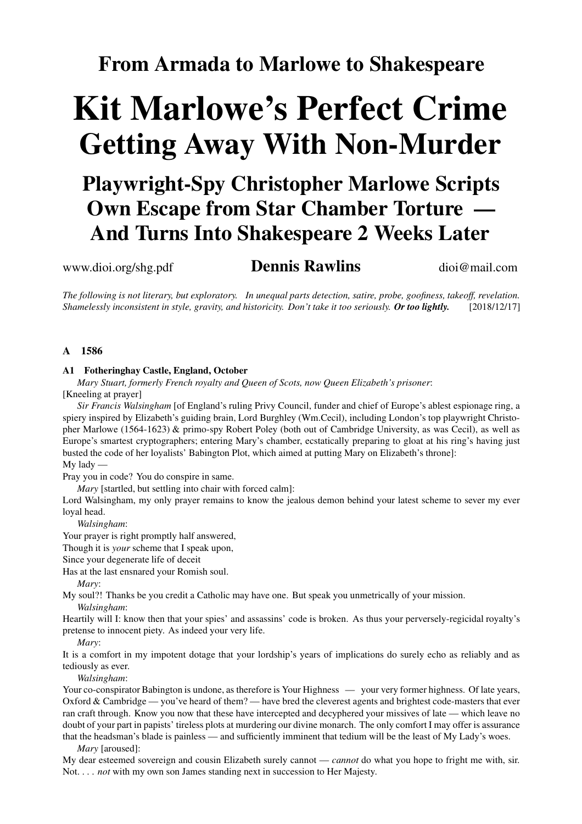### **From Armada to Marlowe to Shakespeare**

# **Kit Marlowe's Perfect Crime Getting Away With Non-Murder**

## **Playwright-Spy Christopher Marlowe Scripts Own Escape from Star Chamber Torture — And Turns Into Shakespeare 2 Weeks Later**

### www.dioi.org/shg.pdf **Dennis Rawlins** dioi@mail.com

The following is not literary, but exploratory. In unequal parts detection, satire, probe, goofiness, takeoff, revelation. *Shamelessly inconsistent in style, gravity, and historicity. Don't take it too seriously. Or too lightly.* [2018/12/17]

#### **A 1586**

#### **A1 Fotheringhay Castle, England, October**

*Mary Stuart, formerly French royalty and Queen of Scots, now Queen Elizabeth's prisoner*: [Kneeling at prayer]

*Sir Francis Walsingham* [of England's ruling Privy Council, funder and chief of Europe's ablest espionage ring, a spiery inspired by Elizabeth's guiding brain, Lord Burghley (Wm.Cecil), including London's top playwright Christopher Marlowe (1564-1623) & primo-spy Robert Poley (both out of Cambridge University, as was Cecil), as well as Europe's smartest cryptographers; entering Mary's chamber, ecstatically preparing to gloat at his ring's having just busted the code of her loyalists' Babington Plot, which aimed at putting Mary on Elizabeth's throne]: My lady —

Pray you in code? You do conspire in same.

*Mary* [startled, but settling into chair with forced calm]:

Lord Walsingham, my only prayer remains to know the jealous demon behind your latest scheme to sever my ever loyal head.

*Walsingham*:

Your prayer is right promptly half answered,

Though it is *your* scheme that I speak upon,

Since your degenerate life of deceit

Has at the last ensnared your Romish soul.

*Mary*:

My soul?! Thanks be you credit a Catholic may have one. But speak you unmetrically of your mission.

*Walsingham*:

Heartily will I: know then that your spies' and assassins' code is broken. As thus your perversely-regicidal royalty's pretense to innocent piety. As indeed your very life.

*Mary*:

It is a comfort in my impotent dotage that your lordship's years of implications do surely echo as reliably and as tediously as ever.

*Walsingham*:

Your co-conspirator Babington is undone, as therefore is Your Highness — your very former highness. Of late years, Oxford & Cambridge — you've heard of them? — have bred the cleverest agents and brightest code-masters that ever ran craft through. Know you now that these have intercepted and decyphered your missives of late — which leave no doubt of your part in papists' tireless plots at murdering our divine monarch. The only comfort I may offer is assurance that the headsman's blade is painless — and sufficiently imminent that tedium will be the least of My Lady's woes.

*Mary* [aroused]:

My dear esteemed sovereign and cousin Elizabeth surely cannot — *cannot* do what you hope to fright me with, sir. Not. . . . *not* with my own son James standing next in succession to Her Majesty.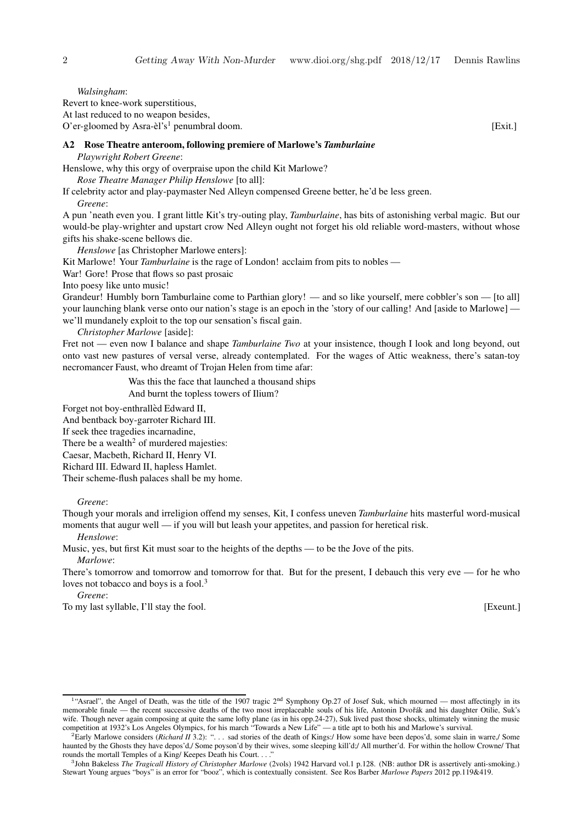*Walsingham*: Revert to knee-work superstitious, At last reduced to no weapon besides,  $O'$ er-gloomed by Asra-èl's<sup>1</sup> penumbral doom. [Exit.]

#### **A2 Rose Theatre anteroom, following premiere of Marlowe's** *Tamburlaine*

*Playwright Robert Greene*:

Henslowe, why this orgy of overpraise upon the child Kit Marlowe?

*Rose Theatre Manager Philip Henslowe* [to all]:

If celebrity actor and play-paymaster Ned Alleyn compensed Greene better, he'd be less green.

*Greene*:

A pun 'neath even you. I grant little Kit's try-outing play, *Tamburlaine*, has bits of astonishing verbal magic. But our would-be play-wrighter and upstart crow Ned Alleyn ought not forget his old reliable word-masters, without whose gifts his shake-scene bellows die.

*Henslowe* [as Christopher Marlowe enters]:

Kit Marlowe! Your *Tamburlaine* is the rage of London! acclaim from pits to nobles —

War! Gore! Prose that flows so past prosaic

Into poesy like unto music!

Grandeur! Humbly born Tamburlaine come to Parthian glory! — and so like yourself, mere cobbler's son — [to all] your launching blank verse onto our nation's stage is an epoch in the 'story of our calling! And [aside to Marlowe] we'll mundanely exploit to the top our sensation's fiscal gain.

*Christopher Marlowe* [aside]:

Fret not — even now I balance and shape *Tamburlaine Two* at your insistence, though I look and long beyond, out onto vast new pastures of versal verse, already contemplated. For the wages of Attic weakness, there's satan-toy necromancer Faust, who dreamt of Trojan Helen from time afar:

Was this the face that launched a thousand ships

And burnt the topless towers of Ilium?

Forget not boy-enthralled Edward II,

And bentback boy-garroter Richard III.

If seek thee tragedies incarnadine,

There be a wealth<sup>2</sup> of murdered majesties:

Caesar, Macbeth, Richard II, Henry VI.

Richard III. Edward II, hapless Hamlet.

Their scheme-flush palaces shall be my home.

*Greene*:

Though your morals and irreligion offend my senses, Kit, I confess uneven *Tamburlaine* hits masterful word-musical moments that augur well — if you will but leash your appetites, and passion for heretical risk.

*Henslowe*:

Music, yes, but first Kit must soar to the heights of the depths — to be the Jove of the pits. *Marlowe*:

There's tomorrow and tomorrow and tomorrow for that. But for the present, I debauch this very eve — for he who loves not tobacco and boys is a fool.<sup>3</sup>

*Greene*:

To my last syllable, I'll stay the fool. [Exeunt.]

<sup>&</sup>lt;sup>1</sup>"Asrael", the Angel of Death, was the title of the 1907 tragic 2<sup>nd</sup> Symphony Op.27 of Josef Suk, which mourned — most affectingly in its memorable finale — the recent successive deaths of the two most irreplaceable souls of his life, Antonin Dvořák and his daughter Otilie, Suk's wife. Though never again composing at quite the same lofty plane (as in his opp.24-27), Suk lived past those shocks, ultimately winning the music competition at 1932's Los Angeles Olympics, for his march "Towards a New Life" — a title apt to both his and Marlowe's survival.

<sup>&</sup>lt;sup>2</sup>Early Marlowe considers (*Richard II* 3.2): "... sad stories of the death of Kings:/ How some have been depos'd, some slain in warre,/ Some haunted by the Ghosts they have depos'd,/ Some poyson'd by their wives, some sleeping kill'd;/ All murther'd. For within the hollow Crowne/ That rounds the mortall Temples of a King/ Keepes Death his Court. . . .

<sup>3</sup> John Bakeless *The Tragicall History of Christopher Marlowe* (2vols) 1942 Harvard vol.1 p.128. (NB: author DR is assertively anti-smoking.) Stewart Young argues "boys" is an error for "booz", which is contextually consistent. See Ros Barber *Marlowe Papers* 2012 pp.119&419.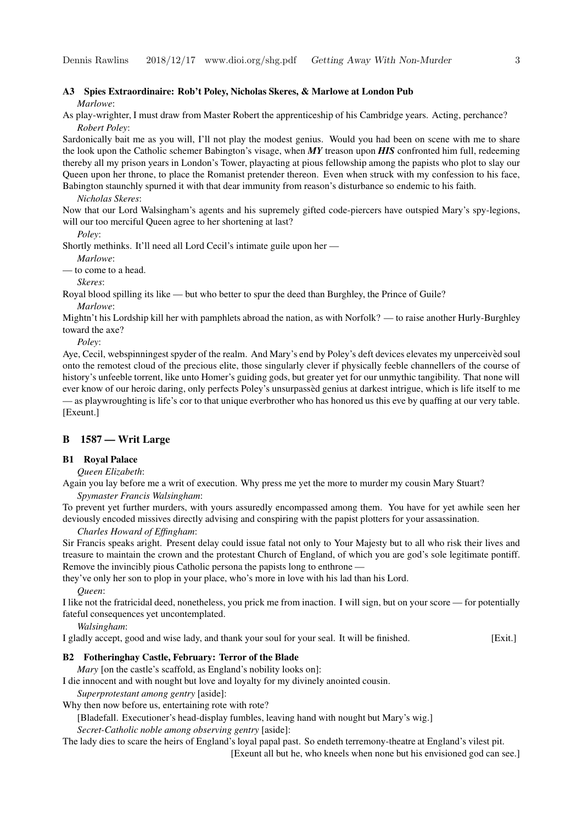#### **A3 Spies Extraordinaire: Rob't Poley, Nicholas Skeres, & Marlowe at London Pub** *Marlowe*:

As play-wrighter, I must draw from Master Robert the apprenticeship of his Cambridge years. Acting, perchance? *Robert Poley*:

Sardonically bait me as you will, I'll not play the modest genius. Would you had been on scene with me to share the look upon the Catholic schemer Babington's visage, when *MY* treason upon *HIS* confronted him full, redeeming thereby all my prison years in London's Tower, playacting at pious fellowship among the papists who plot to slay our Queen upon her throne, to place the Romanist pretender thereon. Even when struck with my confession to his face, Babington staunchly spurned it with that dear immunity from reason's disturbance so endemic to his faith.

#### *Nicholas Skeres*:

Now that our Lord Walsingham's agents and his supremely gifted code-piercers have outspied Mary's spy-legions, will our too merciful Queen agree to her shortening at last?

*Poley*:

Shortly methinks. It'll need all Lord Cecil's intimate guile upon her —

*Marlowe*:

— to come to a head.

*Skeres*:

Royal blood spilling its like — but who better to spur the deed than Burghley, the Prince of Guile? *Marlowe*:

Mightn't his Lordship kill her with pamphlets abroad the nation, as with Norfolk? — to raise another Hurly-Burghley toward the axe?

*Poley*:

Aye, Cecil, webspinningest spyder of the realm. And Mary's end by Poley's deft devices elevates my unperceived soul onto the remotest cloud of the precious elite, those singularly clever if physically feeble channellers of the course of history's unfeeble torrent, like unto Homer's guiding gods, but greater yet for our unmythic tangibility. That none will ever know of our heroic daring, only perfects Poley's unsurpassed genius at darkest intrigue, which is life itself to me — as playwroughting is life's cor to that unique everbrother who has honored us this eve by quaffing at our very table. [Exeunt.]

#### **B 1587 — Writ Large**

#### **B1 Royal Palace**

*Queen Elizabeth*:

Again you lay before me a writ of execution. Why press me yet the more to murder my cousin Mary Stuart? *Spymaster Francis Walsingham*:

To prevent yet further murders, with yours assuredly encompassed among them. You have for yet awhile seen her deviously encoded missives directly advising and conspiring with the papist plotters for your assassination.

*Charles Howard of Effingham*:

Sir Francis speaks aright. Present delay could issue fatal not only to Your Majesty but to all who risk their lives and treasure to maintain the crown and the protestant Church of England, of which you are god's sole legitimate pontiff. Remove the invincibly pious Catholic persona the papists long to enthrone —

they've only her son to plop in your place, who's more in love with his lad than his Lord.

*Queen*:

I like not the fratricidal deed, nonetheless, you prick me from inaction. I will sign, but on your score — for potentially fateful consequences yet uncontemplated.

*Walsingham*:

I gladly accept, good and wise lady, and thank your soul for your seal. It will be finished. [Exit.]

#### **B2 Fotheringhay Castle, February: Terror of the Blade**

*Mary* [on the castle's scaffold, as England's nobility looks on]:

I die innocent and with nought but love and loyalty for my divinely anointed cousin.

*Superprotestant among gentry* [aside]:

Why then now before us, entertaining rote with rote?

[Bladefall. Executioner's head-display fumbles, leaving hand with nought but Mary's wig.]

*Secret-Catholic noble among observing gentry* [aside]:

The lady dies to scare the heirs of England's loyal papal past. So endeth terremony-theatre at England's vilest pit.

[Exeunt all but he, who kneels when none but his envisioned god can see.]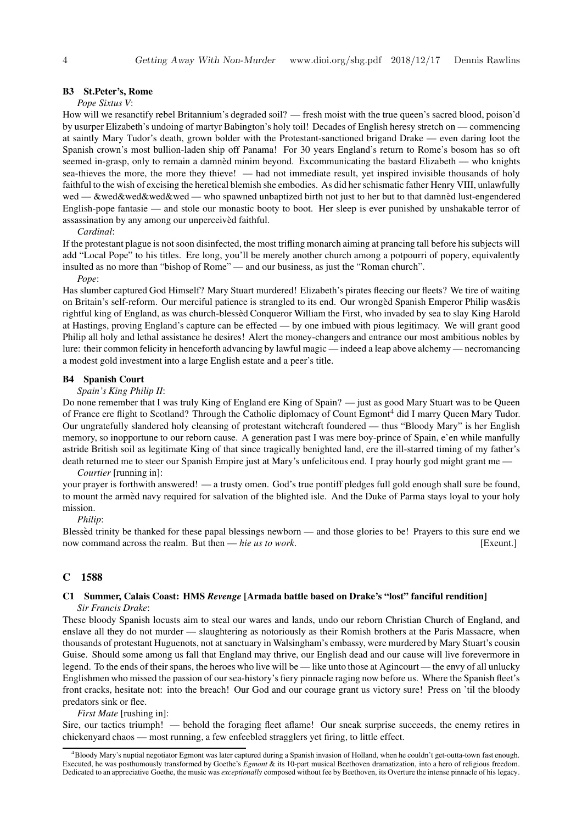#### **B3 St.Peter's, Rome**

#### *Pope Sixtus V*:

How will we resanctify rebel Britannium's degraded soil? — fresh moist with the true queen's sacred blood, poison'd by usurper Elizabeth's undoing of martyr Babington's holy toil! Decades of English heresy stretch on — commencing at saintly Mary Tudor's death, grown bolder with the Protestant-sanctioned brigand Drake — even daring loot the Spanish crown's most bullion-laden ship off Panama! For 30 years England's return to Rome's bosom has so oft seemed in-grasp, only to remain a damned minim beyond. Excommunicating the bastard Elizabeth — who knights sea-thieves the more, the more they thieve! — had not immediate result, yet inspired invisible thousands of holy faithful to the wish of excising the heretical blemish she embodies. As did her schismatic father Henry VIII, unlawfully wed — &wed&wed&wed — who spawned unbaptized birth not just to her but to that damned lust-engendered English-pope fantasie — and stole our monastic booty to boot. Her sleep is ever punished by unshakable terror of assassination by any among our unperceived faithful.

*Cardinal*:

If the protestant plague is not soon disinfected, the most trifling monarch aiming at prancing tall before his subjects will add "Local Pope" to his titles. Ere long, you'll be merely another church among a potpourri of popery, equivalently insulted as no more than "bishop of Rome" — and our business, as just the "Roman church".

#### *Pope*:

Has slumber captured God Himself? Mary Stuart murdered! Elizabeth's pirates fleecing our fleets? We tire of waiting on Britain's self-reform. Our merciful patience is strangled to its end. Our wronged` Spanish Emperor Philip was&is rightful king of England, as was church-blessed` Conqueror William the First, who invaded by sea to slay King Harold at Hastings, proving England's capture can be effected — by one imbued with pious legitimacy. We will grant good Philip all holy and lethal assistance he desires! Alert the money-changers and entrance our most ambitious nobles by lure: their common felicity in henceforth advancing by lawful magic — indeed a leap above alchemy — necromancing a modest gold investment into a large English estate and a peer's title.

#### **B4 Spanish Court**

#### *Spain's King Philip II*:

Do none remember that I was truly King of England ere King of Spain? — just as good Mary Stuart was to be Queen of France ere flight to Scotland? Through the Catholic diplomacy of Count Egmont<sup>4</sup> did I marry Queen Mary Tudor. Our ungratefully slandered holy cleansing of protestant witchcraft foundered — thus "Bloody Mary" is her English memory, so inopportune to our reborn cause. A generation past I was mere boy-prince of Spain, e'en while manfully astride British soil as legitimate King of that since tragically benighted land, ere the ill-starred timing of my father's death returned me to steer our Spanish Empire just at Mary's unfelicitous end. I pray hourly god might grant me —

#### *Courtier* [running in]:

your prayer is forthwith answered! — a trusty omen. God's true pontiff pledges full gold enough shall sure be found, to mount the armed navy required for salvation of the blighted isle. And the Duke of Parma stays loyal to your holy mission.

#### *Philip*:

Blessed trinity be thanked for these papal blessings newborn — and those glories to be! Prayers to this sure end we now command across the realm. But then — *hie us to work*. [Exeunt.]

#### **C 1588**

#### **C1 Summer, Calais Coast: HMS** *Revenge* **[Armada battle based on Drake's "lost" fanciful rendition]**

*Sir Francis Drake*:

These bloody Spanish locusts aim to steal our wares and lands, undo our reborn Christian Church of England, and enslave all they do not murder — slaughtering as notoriously as their Romish brothers at the Paris Massacre, when thousands of protestant Huguenots, not at sanctuary in Walsingham's embassy, were murdered by Mary Stuart's cousin Guise. Should some among us fall that England may thrive, our English dead and our cause will live forevermore in legend. To the ends of their spans, the heroes who live will be — like unto those at Agincourt — the envy of all unlucky Englishmen who missed the passion of our sea-history's fiery pinnacle raging now before us. Where the Spanish fleet's front cracks, hesitate not: into the breach! Our God and our courage grant us victory sure! Press on 'til the bloody predators sink or flee.

*First Mate* [rushing in]:

Sire, our tactics triumph! — behold the foraging fleet aflame! Our sneak surprise succeeds, the enemy retires in chickenyard chaos — most running, a few enfeebled stragglers yet firing, to little effect.

<sup>4</sup>Bloody Mary's nuptial negotiator Egmont was later captured during a Spanish invasion of Holland, when he couldn't get-outta-town fast enough. Executed, he was posthumously transformed by Goethe's *Egmont* & its 10-part musical Beethoven dramatization, into a hero of religious freedom. Dedicated to an appreciative Goethe, the music was *exceptionally* composed without fee by Beethoven, its Overture the intense pinnacle of his legacy.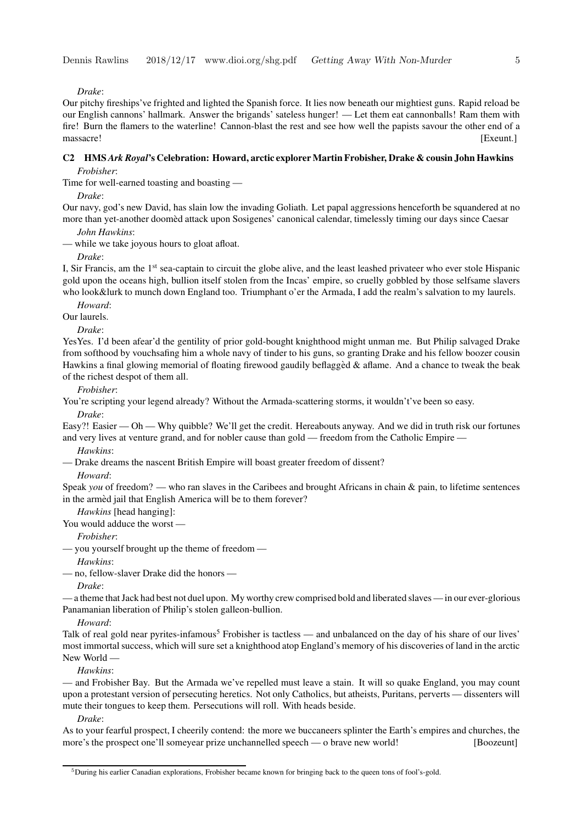*Drake*:

Our pitchy fireships've frighted and lighted the Spanish force. It lies now beneath our mightiest guns. Rapid reload be our English cannons' hallmark. Answer the brigands' sateless hunger! — Let them eat cannonballs! Ram them with fire! Burn the flamers to the waterline! Cannon-blast the rest and see how well the papists savour the other end of a massacre! [Exeunt.]

#### **C2 HMS** *Ark Royal***'s Celebration: Howard, arctic explorer Martin Frobisher, Drake & cousin John Hawkins** *Frobisher*:

Time for well-earned toasting and boasting —

*Drake*:

Our navy, god's new David, has slain low the invading Goliath. Let papal aggressions henceforth be squandered at no more than yet-another doomed attack upon Sosigenes' canonical calendar, timelessly timing our days since Caesar

*John Hawkins*:

— while we take joyous hours to gloat afloat.

*Drake*:

I, Sir Francis, am the 1<sup>st</sup> sea-captain to circuit the globe alive, and the least leashed privateer who ever stole Hispanic gold upon the oceans high, bullion itself stolen from the Incas' empire, so cruelly gobbled by those selfsame slavers who look&lurk to munch down England too. Triumphant o'er the Armada, I add the realm's salvation to my laurels.

*Howard*:

Our laurels.

*Drake*:

YesYes. I'd been afear'd the gentility of prior gold-bought knighthood might unman me. But Philip salvaged Drake from softhood by vouchsafing him a whole navy of tinder to his guns, so granting Drake and his fellow boozer cousin Hawkins a final glowing memorial of floating firewood gaudily beflagged & aflame. And a chance to tweak the beak of the richest despot of them all.

*Frobisher*:

You're scripting your legend already? Without the Armada-scattering storms, it wouldn't've been so easy.

*Drake*:

Easy?! Easier — Oh — Why quibble? We'll get the credit. Hereabouts anyway. And we did in truth risk our fortunes and very lives at venture grand, and for nobler cause than gold — freedom from the Catholic Empire —

*Hawkins*:

— Drake dreams the nascent British Empire will boast greater freedom of dissent?

*Howard*:

Speak *you* of freedom? — who ran slaves in the Caribees and brought Africans in chain & pain, to lifetime sentences in the armed jail that English America will be to them forever?

*Hawkins* [head hanging]:

You would adduce the worst —

*Frobisher*:

— you yourself brought up the theme of freedom —

*Hawkins*:

— no, fellow-slaver Drake did the honors —

*Drake*:

— a theme thatJack had best not duel upon. My worthy crew comprised bold and liberated slaves — in our ever-glorious Panamanian liberation of Philip's stolen galleon-bullion.

*Howard*:

Talk of real gold near pyrites-infamous<sup>5</sup> Frobisher is tactless — and unbalanced on the day of his share of our lives' most immortal success, which will sure set a knighthood atop England's memory of his discoveries of land in the arctic New World —

*Hawkins*:

— and Frobisher Bay. But the Armada we've repelled must leave a stain. It will so quake England, you may count upon a protestant version of persecuting heretics. Not only Catholics, but atheists, Puritans, perverts — dissenters will mute their tongues to keep them. Persecutions will roll. With heads beside.

*Drake*:

As to your fearful prospect, I cheerily contend: the more we buccaneers splinter the Earth's empires and churches, the more's the prospect one'll someyear prize unchannelled speech — o brave new world! [Boozeunt]

<sup>5</sup>During his earlier Canadian explorations, Frobisher became known for bringing back to the queen tons of fool's-gold.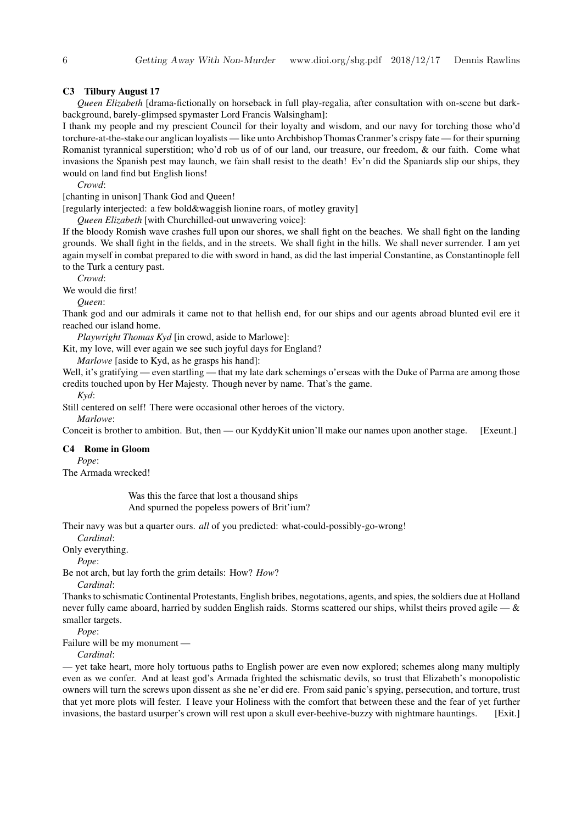#### **C3 Tilbury August 17**

*Queen Elizabeth* [drama-fictionally on horseback in full play-regalia, after consultation with on-scene but darkbackground, barely-glimpsed spymaster Lord Francis Walsingham]:

I thank my people and my prescient Council for their loyalty and wisdom, and our navy for torching those who'd torchure-at-the-stake our anglican loyalists — like unto Archbishop Thomas Cranmer's crispy fate — for their spurning Romanist tyrannical superstition; who'd rob us of of our land, our treasure, our freedom, & our faith. Come what invasions the Spanish pest may launch, we fain shall resist to the death! Ev'n did the Spaniards slip our ships, they would on land find but English lions!

*Crowd*:

[chanting in unison] Thank God and Queen!

[regularly interjected: a few bold&waggish lionine roars, of motley gravity]

*Queen Elizabeth* [with Churchilled-out unwavering voice]:

If the bloody Romish wave crashes full upon our shores, we shall fight on the beaches. We shall fight on the landing grounds. We shall fight in the fields, and in the streets. We shall fight in the hills. We shall never surrender. I am yet again myself in combat prepared to die with sword in hand, as did the last imperial Constantine, as Constantinople fell to the Turk a century past.

*Crowd*:

We would die first!

#### *Queen*:

Thank god and our admirals it came not to that hellish end, for our ships and our agents abroad blunted evil ere it reached our island home.

*Playwright Thomas Kyd* [in crowd, aside to Marlowe]:

Kit, my love, will ever again we see such joyful days for England?

*Marlowe* [aside to Kyd, as he grasps his hand]:

Well, it's gratifying — even startling — that my late dark schemings o'erseas with the Duke of Parma are among those credits touched upon by Her Majesty. Though never by name. That's the game.

*Kyd*:

Still centered on self! There were occasional other heroes of the victory.

*Marlowe*:

Conceit is brother to ambition. But, then — our KyddyKit union'll make our names upon another stage. [Exeunt.]

#### **C4 Rome in Gloom**

*Pope*:

The Armada wrecked!

Was this the farce that lost a thousand ships And spurned the popeless powers of Brit'ium?

Their navy was but a quarter ours. *all* of you predicted: what-could-possibly-go-wrong!

*Cardinal*:

Only everything.

*Pope*:

Be not arch, but lay forth the grim details: How? *How*?

*Cardinal*:

Thanksto schismatic Continental Protestants, English bribes, negotations, agents, and spies, the soldiers due at Holland never fully came aboard, harried by sudden English raids. Storms scattered our ships, whilst theirs proved agile  $-\&$ smaller targets.

*Pope*:

Failure will be my monument —

*Cardinal*:

— yet take heart, more holy tortuous paths to English power are even now explored; schemes along many multiply even as we confer. And at least god's Armada frighted the schismatic devils, so trust that Elizabeth's monopolistic owners will turn the screws upon dissent as she ne'er did ere. From said panic's spying, persecution, and torture, trust that yet more plots will fester. I leave your Holiness with the comfort that between these and the fear of yet further invasions, the bastard usurper's crown will rest upon a skull ever-beehive-buzzy with nightmare hauntings. [Exit.]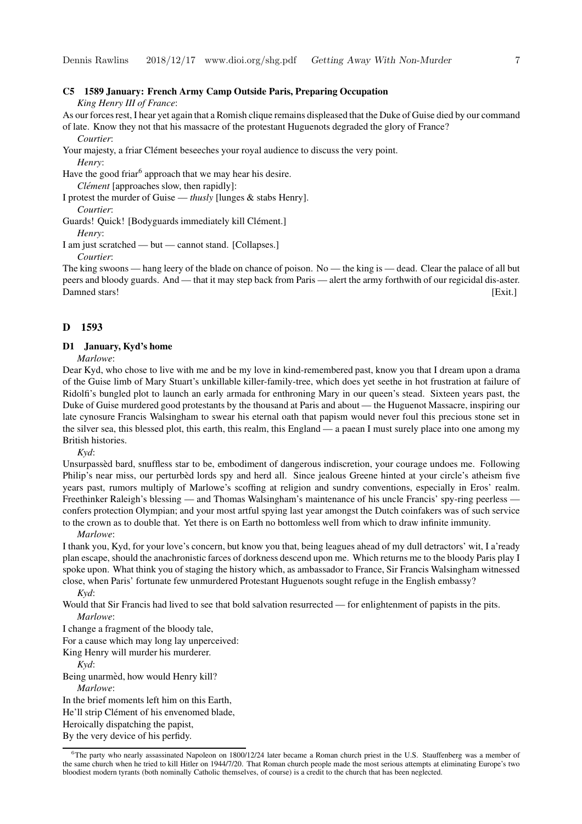#### **C5 1589 January: French Army Camp Outside Paris, Preparing Occupation**

*King Henry III of France*:

As our forces rest, I hear yet again that a Romish clique remains displeased that the Duke of Guise died by our command of late. Know they not that his massacre of the protestant Huguenots degraded the glory of France?

#### *Courtier*:

Your majesty, a friar Clément beseeches your royal audience to discuss the very point.

*Henry*:

Have the good friar<sup>6</sup> approach that we may hear his desire.

*Clément* [approaches slow, then rapidly]:

I protest the murder of Guise — *thusly* [lunges & stabs Henry].

*Courtier*:

Guards! Quick! [Bodyguards immediately kill Clément.]

*Henry*:

I am just scratched — but — cannot stand. [Collapses.]

*Courtier*:

The king swoons — hang leery of the blade on chance of poison. No — the king is — dead. Clear the palace of all but peers and bloody guards. And — that it may step back from Paris — alert the army forthwith of our regicidal dis-aster. Damned stars! [Exit.]

#### **D 1593**

#### **D1 January, Kyd's home**

*Marlowe*:

Dear Kyd, who chose to live with me and be my love in kind-remembered past, know you that I dream upon a drama of the Guise limb of Mary Stuart's unkillable killer-family-tree, which does yet seethe in hot frustration at failure of Ridolfi's bungled plot to launch an early armada for enthroning Mary in our queen's stead. Sixteen years past, the Duke of Guise murdered good protestants by the thousand at Paris and about — the Huguenot Massacre, inspiring our late cynosure Francis Walsingham to swear his eternal oath that papism would never foul this precious stone set in the silver sea, this blessed plot, this earth, this realm, this England — a paean I must surely place into one among my British histories.

*Kyd*:

Unsurpassed` bard, snuffless star to be, embodiment of dangerous indiscretion, your courage undoes me. Following Philip's near miss, our perturbèd lords spy and herd all. Since jealous Greene hinted at your circle's atheism five years past, rumors multiply of Marlowe's scoffing at religion and sundry conventions, especially in Eros' realm. Freethinker Raleigh's blessing — and Thomas Walsingham's maintenance of his uncle Francis' spy-ring peerless confers protection Olympian; and your most artful spying last year amongst the Dutch coinfakers was of such service to the crown as to double that. Yet there is on Earth no bottomless well from which to draw infinite immunity.

*Marlowe*:

I thank you, Kyd, for your love's concern, but know you that, being leagues ahead of my dull detractors' wit, I a'ready plan escape, should the anachronistic farces of dorkness descend upon me. Which returns me to the bloody Paris play I spoke upon. What think you of staging the history which, as ambassador to France, Sir Francis Walsingham witnessed close, when Paris' fortunate few unmurdered Protestant Huguenots sought refuge in the English embassy?

*Kyd*:

Would that Sir Francis had lived to see that bold salvation resurrected — for enlightenment of papists in the pits. *Marlowe*:

I change a fragment of the bloody tale,

For a cause which may long lay unperceived:

King Henry will murder his murderer.

*Kyd*:

Being unarmèd, how would Henry kill? *Marlowe*:

In the brief moments left him on this Earth,

He'll strip Clément of his envenomed blade,

Heroically dispatching the papist,

By the very device of his perfidy.

 $6$ The party who nearly assassinated Napoleon on 1800/12/24 later became a Roman church priest in the U.S. Stauffenberg was a member of the same church when he tried to kill Hitler on 1944/7/20. That Roman church people made the most serious attempts at eliminating Europe's two bloodiest modern tyrants (both nominally Catholic themselves, of course) is a credit to the church that has been neglected.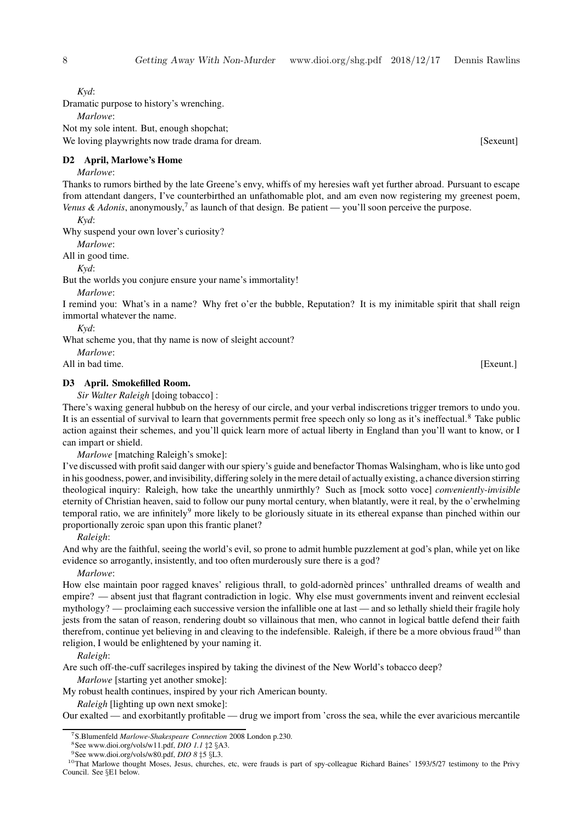*Kyd*:

Dramatic purpose to history's wrenching.

*Marlowe*:

Not my sole intent. But, enough shopchat;

We loving playwrights now trade drama for dream. [Sexeunt] [Sexeunt]

#### **D2 April, Marlowe's Home**

#### *Marlowe*:

Thanks to rumors birthed by the late Greene's envy, whiffs of my heresies waft yet further abroad. Pursuant to escape from attendant dangers, I've counterbirthed an unfathomable plot, and am even now registering my greenest poem, Venus & Adonis, anonymously,<sup>7</sup> as launch of that design. Be patient — you'll soon perceive the purpose.

*Kyd*:

Why suspend your own lover's curiosity?

*Marlowe*:

All in good time.

*Kyd*:

But the worlds you conjure ensure your name's immortality!

*Marlowe*:

I remind you: What's in a name? Why fret o'er the bubble, Reputation? It is my inimitable spirit that shall reign immortal whatever the name.

*Kyd*:

What scheme you, that thy name is now of sleight account?

*Marlowe*:

All in bad time. [Exeunt.]

#### **D3 April. Smokefilled Room.**

*Sir Walter Raleigh* [doing tobacco] :

There's waxing general hubbub on the heresy of our circle, and your verbal indiscretions trigger tremors to undo you. It is an essential of survival to learn that governments permit free speech only so long as it's ineffectual.<sup>8</sup> Take public action against their schemes, and you'll quick learn more of actual liberty in England than you'll want to know, or I can impart or shield.

*Marlowe* [matching Raleigh's smoke]:

I've discussed with profitsaid danger with our spiery's guide and benefactor Thomas Walsingham, who is like unto god in his goodness, power, and invisibility, differing solely in the mere detail of actually existing, a chance diversion stirring theological inquiry: Raleigh, how take the unearthly unmirthly? Such as [mock sotto voce] *conveniently-invisible* eternity of Christian heaven, said to follow our puny mortal century, when blatantly, were it real, by the o'erwhelming temporal ratio, we are infinitely<sup>9</sup> more likely to be gloriously situate in its ethereal expanse than pinched within our proportionally zeroic span upon this frantic planet?

*Raleigh*:

And why are the faithful, seeing the world's evil, so prone to admit humble puzzlement at god's plan, while yet on like evidence so arrogantly, insistently, and too often murderously sure there is a god?

*Marlowe*:

How else maintain poor ragged knaves' religious thrall, to gold-adorned princes' unthralled dreams of wealth and empire? — absent just that flagrant contradiction in logic. Why else must governments invent and reinvent ecclesial mythology? — proclaiming each successive version the infallible one at last — and so lethally shield their fragile holy jests from the satan of reason, rendering doubt so villainous that men, who cannot in logical battle defend their faith therefrom, continue yet believing in and cleaving to the indefensible. Raleigh, if there be a more obvious fraud<sup>10</sup> than religion, I would be enlightened by your naming it.

*Raleigh*:

Are such off-the-cuff sacrileges inspired by taking the divinest of the New World's tobacco deep?

*Marlowe* [starting yet another smoke]:

My robust health continues, inspired by your rich American bounty.

*Raleigh* [lighting up own next smoke]:

Our exalted — and exorbitantly profitable — drug we import from 'cross the sea, while the ever avaricious mercantile

<sup>7</sup>S.Blumenfeld *Marlowe-Shakespeare Connection* 2008 London p.230.

<sup>8</sup>See www.dioi.org/vols/w11.pdf, *DIO 1.1* ‡2 §A3.

<sup>9</sup>See www.dioi.org/vols/w80.pdf, *DIO 8* ‡5 §L3.

<sup>&</sup>lt;sup>10</sup>That Marlowe thought Moses, Jesus, churches, etc, were frauds is part of spy-colleague Richard Baines' 1593/5/27 testimony to the Privy Council. See §E1 below.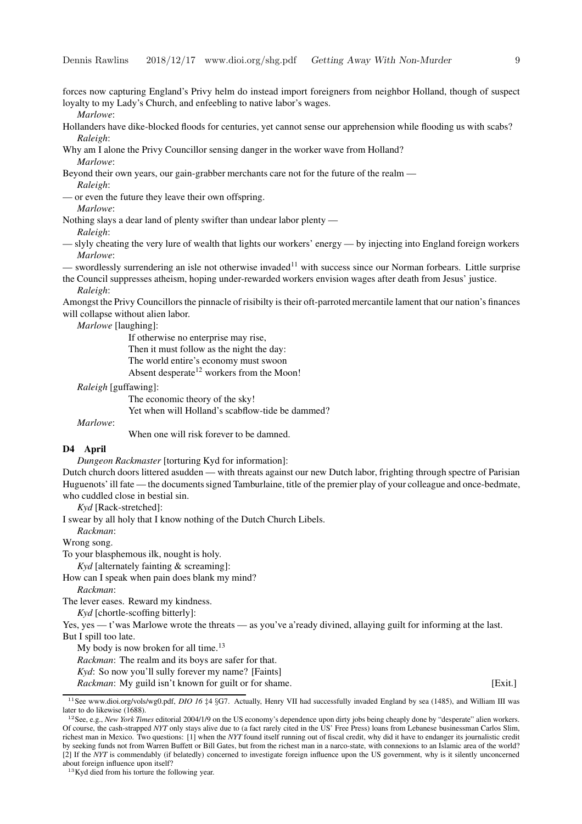forces now capturing England's Privy helm do instead import foreigners from neighbor Holland, though of suspect loyalty to my Lady's Church, and enfeebling to native labor's wages.

*Marlowe*:

Hollanders have dike-blocked floods for centuries, yet cannot sense our apprehension while flooding us with scabs? *Raleigh*:

Why am I alone the Privy Councillor sensing danger in the worker wave from Holland? *Marlowe*:

Beyond their own years, our gain-grabber merchants care not for the future of the realm — *Raleigh*:

or even the future they leave their own offspring.

*Marlowe*:

Nothing slays a dear land of plenty swifter than undear labor plenty — *Raleigh*:

— slyly cheating the very lure of wealth that lights our workers' energy — by injecting into England foreign workers *Marlowe*:

— swordlessly surrendering an isle not otherwise invaded<sup>11</sup> with success since our Norman forbears. Little surprise the Council suppresses atheism, hoping under-rewarded workers envision wages after death from Jesus' justice.

*Raleigh*:

Amongst the Privy Councillors the pinnacle of risibilty is their oft-parroted mercantile lament that our nation's finances will collapse without alien labor.

*Marlowe* [laughing]:

If otherwise no enterprise may rise, Then it must follow as the night the day: The world entire's economy must swoon Absent desperate<sup>12</sup> workers from the Moon!

*Raleigh* [guffawing]:

The economic theory of the sky!

Yet when will Holland's scabflow-tide be dammed?

*Marlowe*:

When one will risk forever to be damned.

#### **D4 April**

*Dungeon Rackmaster* [torturing Kyd for information]:

Dutch church doors littered asudden — with threats against our new Dutch labor, frighting through spectre of Parisian Huguenots'ill fate — the documentssigned Tamburlaine, title of the premier play of your colleague and once-bedmate, who cuddled close in bestial sin.

*Kyd* [Rack-stretched]:

I swear by all holy that I know nothing of the Dutch Church Libels.

*Rackman*:

Wrong song.

To your blasphemous ilk, nought is holy.

*Kyd* [alternately fainting & screaming]:

How can I speak when pain does blank my mind?

*Rackman*:

The lever eases. Reward my kindness.

*Kyd* [chortle-scoffing bitterly]:

Yes, yes — t'was Marlowe wrote the threats — as you've a'ready divined, allaying guilt for informing at the last. But I spill too late.

My body is now broken for all time.<sup>13</sup>

*Rackman*: The realm and its boys are safer for that.

*Kyd*: So now you'll sully forever my name? [Faints]

*Rackman*: My guild isn't known for guilt or for shame. [Exit.]

<sup>13</sup>Kyd died from his torture the following year.

<sup>&</sup>lt;sup>11</sup>See www.dioi.org/vols/wg0.pdf, *DIO* 16 ‡4 §G7. Actually, Henry VII had successfully invaded England by sea (1485), and William III was later to do likewise (1688).

<sup>12</sup>See, e.g., *New York Times* editorial 2004/1/9 on the US economy's dependence upon dirty jobs being cheaply done by "desperate" alien workers. Of course, the cash-strapped *NYT* only stays alive due to (a fact rarely cited in the US' Free Press) loans from Lebanese businessman Carlos Slim, richest man in Mexico. Two questions: [1] when the *NYT* found itself running out of fiscal credit, why did it have to endanger its journalistic credit by seeking funds not from Warren Buffett or Bill Gates, but from the richest man in a narco-state, with connexions to an Islamic area of the world? [2] If the *NYT* is commendably (if belatedly) concerned to investigate foreign influence upon the US government, why is it silently unconcerned about foreign influence upon itself?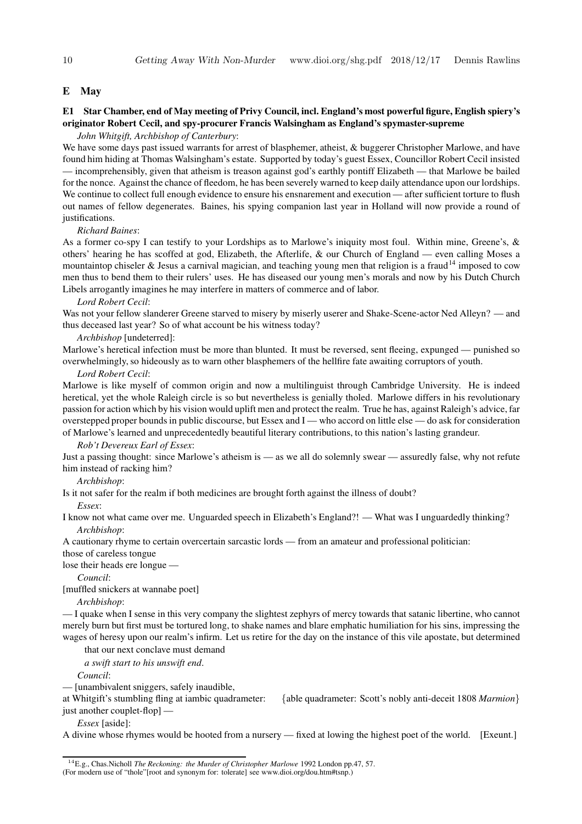#### **E May**

#### E1 Star Chamber, end of May meeting of Privy Council, incl. England's most powerful figure, English spiery's **originator Robert Cecil, and spy-procurer Francis Walsingham as England's spymaster-supreme**

*John Whitgift, Archbishop of Canterbury*:

We have some days past issued warrants for arrest of blasphemer, atheist, & buggerer Christopher Marlowe, and have found him hiding at Thomas Walsingham's estate. Supported by today's guest Essex, Councillor Robert Cecil insisted — incomprehensibly, given that atheism is treason against god's earthly pontiff Elizabeth — that Marlowe be bailed for the nonce. Against the chance of fleedom, he has been severely warned to keep daily attendance upon our lordships. We continue to collect full enough evidence to ensure his ensnarement and execution — after sufficient torture to flush out names of fellow degenerates. Baines, his spying companion last year in Holland will now provide a round of justifications.

#### *Richard Baines*:

As a former co-spy I can testify to your Lordships as to Marlowe's iniquity most foul. Within mine, Greene's, & others' hearing he has scoffed at god, Elizabeth, the Afterlife, & our Church of England — even calling Moses a mountaintop chiseler & Jesus a carnival magician, and teaching young men that religion is a fraud<sup>14</sup> imposed to cow men thus to bend them to their rulers' uses. He has diseased our young men's morals and now by his Dutch Church Libels arrogantly imagines he may interfere in matters of commerce and of labor.

#### *Lord Robert Cecil*:

Was not your fellow slanderer Greene starved to misery by miserly userer and Shake-Scene-actor Ned Alleyn? — and thus deceased last year? So of what account be his witness today?

#### *Archbishop* [undeterred]:

Marlowe's heretical infection must be more than blunted. It must be reversed, sent fleeing, expunged — punished so overwhelmingly,so hideously as to warn other blasphemers of the hellfire fate awaiting corruptors of youth.

#### *Lord Robert Cecil*:

Marlowe is like myself of common origin and now a multilinguist through Cambridge University. He is indeed heretical, yet the whole Raleigh circle is so but nevertheless is genially tholed. Marlowe differs in his revolutionary passion for action which by his vision would uplift men and protect the realm. True he has, against Raleigh's advice, far overstepped proper bounds in public discourse, but Essex and I — who accord on little else — do ask for consideration of Marlowe's learned and unprecedentedly beautiful literary contributions, to this nation's lasting grandeur.

#### *Rob't Devereux Earl of Essex*:

Just a passing thought: since Marlowe's atheism is — as we all do solemnly swear — assuredly false, why not refute him instead of racking him?

#### *Archbishop*:

Is it not safer for the realm if both medicines are brought forth against the illness of doubt?

*Essex*:

I know not what came over me. Unguarded speech in Elizabeth's England?! — What was I unguardedly thinking? *Archbishop*:

A cautionary rhyme to certain overcertain sarcastic lords — from an amateur and professional politician: those of careless tongue

lose their heads ere longue —

*Council*:

[muffled snickers at wannabe poet]

#### *Archbishop*:

— I quake when I sense in this very company the slightest zephyrs of mercy towards that satanic libertine, who cannot merely burn but first must be tortured long, to shake names and blare emphatic humiliation for his sins, impressing the wages of heresy upon our realm's infirm. Let us retire for the day on the instance of this vile apostate, but determined

that our next conclave must demand

*a swift start to his unswift end*.

*Council*:

— [unambivalent sniggers, safely inaudible,

at Whitgift's stumbling fling at iambic quadrameter: {able quadrameter: Scott's nobly anti-deceit 1808 *Marmion*} just another couplet-flop] —

*Essex* [aside]:

A divine whose rhymes would be hooted from a nursery — fixed at lowing the highest poet of the world. [Exeunt.]

<sup>14</sup>E.g., Chas.Nicholl *The Reckoning: the Murder of Christopher Marlowe* 1992 London pp.47, 57.

<sup>(</sup>For modern use of "thole"[root and synonym for: tolerate] see www.dioi.org/dou.htm#tsnp.)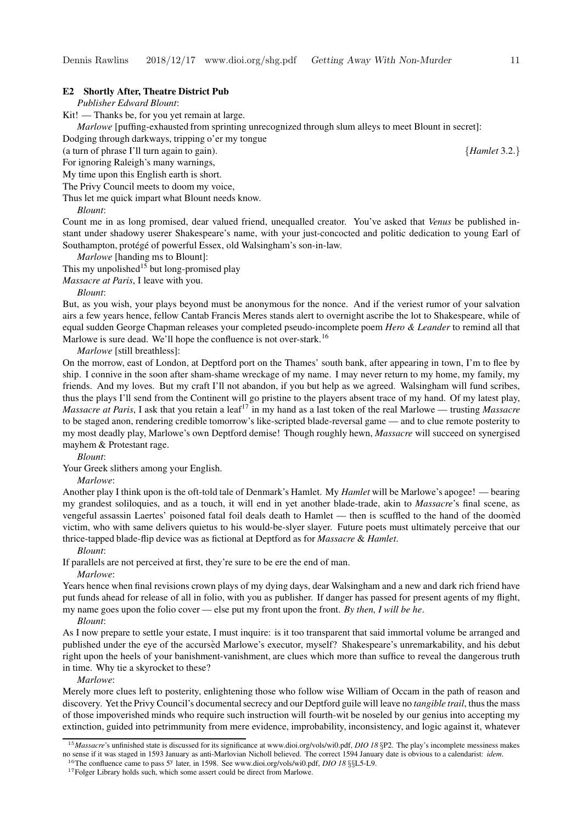#### **E2 Shortly After, Theatre District Pub**

*Publisher Edward Blount*:

Kit! — Thanks be, for you yet remain at large.

*Marlowe* [puffing-exhausted from sprinting unrecognized through slum alleys to meet Blount in secret]:

Dodging through darkways, tripping o'er my tongue

(a turn of phrase I'll turn again to gain). {*Hamlet* 3.2.}

For ignoring Raleigh's many warnings,

My time upon this English earth is short.

The Privy Council meets to doom my voice,

Thus let me quick impart what Blount needs know.

*Blount*:

Count me in as long promised, dear valued friend, unequalled creator. You've asked that *Venus* be published instant under shadowy userer Shakespeare's name, with your just-concocted and politic dedication to young Earl of Southampton, protégé of powerful Essex, old Walsingham's son-in-law.

*Marlowe* [handing ms to Blount]:

This my unpolished<sup>15</sup> but long-promised play

*Massacre at Paris*, I leave with you.

*Blount*:

But, as you wish, your plays beyond must be anonymous for the nonce. And if the veriest rumor of your salvation airs a few years hence, fellow Cantab Francis Meres stands alert to overnight ascribe the lot to Shakespeare, while of equal sudden George Chapman releases your completed pseudo-incomplete poem *Hero & Leander* to remind all that Marlowe is sure dead. We'll hope the confluence is not over-stark.<sup>16</sup>

*Marlowe* [still breathless]:

On the morrow, east of London, at Deptford port on the Thames' south bank, after appearing in town, I'm to flee by ship. I connive in the soon after sham-shame wreckage of my name. I may never return to my home, my family, my friends. And my loves. But my craft I'll not abandon, if you but help as we agreed. Walsingham will fund scribes, thus the plays I'll send from the Continent will go pristine to the players absent trace of my hand. Of my latest play, *Massacre at Paris*, I ask that you retain a leaf<sup>17</sup> in my hand as a last token of the real Marlowe — trusting *Massacre* to be staged anon, rendering credible tomorrow's like-scripted blade-reversal game — and to clue remote posterity to my most deadly play, Marlowe's own Deptford demise! Though roughly hewn, *Massacre* will succeed on synergised mayhem & Protestant rage.

*Blount*:

Your Greek slithers among your English.

*Marlowe*:

Another play I think upon is the oft-told tale of Denmark's Hamlet. My *Hamlet* will be Marlowe's apogee! — bearing my grandest soliloquies, and as a touch, it will end in yet another blade-trade, akin to *Massacre*'s final scene, as vengeful assassin Laertes' poisoned fatal foil deals death to Hamlet — then is scuffled to the hand of the doomed` victim, who with same delivers quietus to his would-be-slyer slayer. Future poets must ultimately perceive that our thrice-tapped blade-flip device was as fictional at Deptford as for *Massacre* & *Hamlet*.

*Blount*:

If parallels are not perceived at first, they're sure to be ere the end of man.

*Marlowe*:

Years hence when final revisions crown plays of my dying days, dear Walsingham and a new and dark rich friend have put funds ahead for release of all in folio, with you as publisher. If danger has passed for present agents of my flight, my name goes upon the folio cover — else put my front upon the front. *By then, I will be he*.

*Blount*:

As I now prepare to settle your estate, I must inquire: is it too transparent that said immortal volume be arranged and published under the eye of the accursed Marlowe's executor, myself? Shakespeare's unremarkability, and his debut right upon the heels of your banishment-vanishment, are clues which more than suffice to reveal the dangerous truth in time. Why tie a skyrocket to these?

*Marlowe*:

Merely more clues left to posterity, enlightening those who follow wise William of Occam in the path of reason and discovery. Yet the Privy Council's documentalsecrecy and our Deptford guile will leave no *tangible trail*, thusthe mass of those impoverished minds who require such instruction will fourth-wit be noseled by our genius into accepting my extinction, guided into petrimmunity from mere evidence, improbability, inconsistency, and logic against it, whatever

<sup>&</sup>lt;sup>15</sup>*Massacre*'s unfinished state is discussed for its significance at www.dioi.org/vols/wi0.pdf, *DIO 18* §P2. The play's incomplete messiness makes no sense if it was staged in 1593 January as anti-Marlovian Nicholl believed. The correct 1594 January date is obvious to a calendarist: *idem*.

<sup>&</sup>lt;sup>16</sup>The confluence came to pass 5<sup>y</sup> later, in 1598. See www.dioi.org/vols/wi0.pdf, *DIO* 18 §§L5-L9.

<sup>&</sup>lt;sup>17</sup>Folger Library holds such, which some assert could be direct from Marlowe.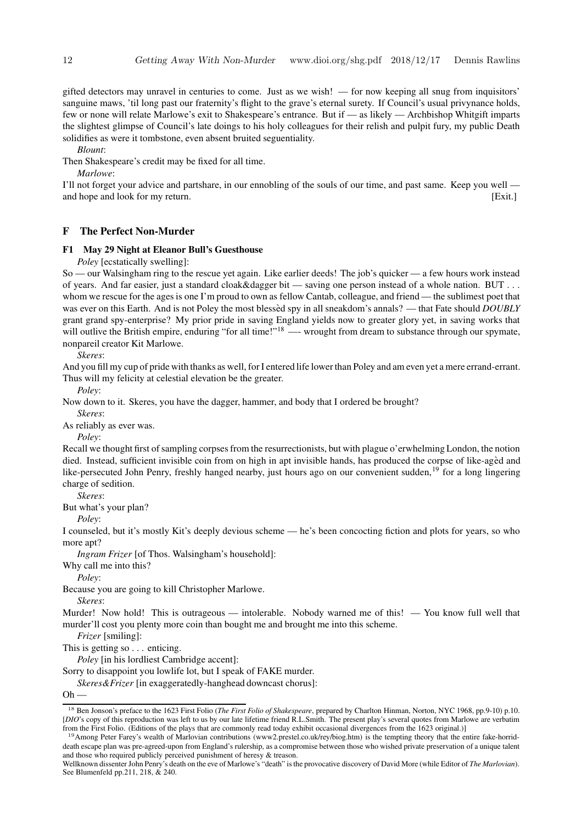gifted detectors may unravel in centuries to come. Just as we wish! — for now keeping all snug from inquisitors' sanguine maws, 'til long past our fraternity's flight to the grave's eternal surety. If Council's usual privynance holds, few or none will relate Marlowe's exit to Shakespeare's entrance. But if — as likely — Archbishop Whitgift imparts the slightest glimpse of Council's late doings to his holy colleagues for their relish and pulpit fury, my public Death solidifies as were it tombstone, even absent bruited seguentiality.

*Blount*:

Then Shakespeare's credit may be fixed for all time.

*Marlowe*:

I'll not forget your advice and partshare, in our ennobling of the souls of our time, and past same. Keep you well and hope and look for my return. [Exit.]

#### **F The Perfect Non-Murder**

#### **F1 May 29 Night at Eleanor Bull's Guesthouse**

*Poley* [ecstatically swelling]:

So — our Walsingham ring to the rescue yet again. Like earlier deeds! The job's quicker — a few hours work instead of years. And far easier, just a standard cloak&dagger bit — saving one person instead of a whole nation. BUT . . . whom we rescue for the ages is one I'm proud to own as fellow Cantab, colleague, and friend — the sublimest poet that was ever on this Earth. And is not Poley the most blessed spy in all sneakdom's annals? — that Fate should *DOUBLY* grant grand spy-enterprise? My prior pride in saving England yields now to greater glory yet, in saving works that will outlive the British empire, enduring "for all time!"<sup>18</sup> —- wrought from dream to substance through our spymate, nonpareil creator Kit Marlowe.

*Skeres*:

And you fill my cup of pride with thanks as well, for I entered life lower than Poley and am even yet a mere errand-errant. Thus will my felicity at celestial elevation be the greater.

*Poley*:

Now down to it. Skeres, you have the dagger, hammer, and body that I ordered be brought?

As reliably as ever was.

*Poley*:

*Skeres*:

Recall we thought first of sampling corpses from the resurrectionists, but with plague o'erwhelming London, the notion died. Instead, sufficient invisible coin from on high in apt invisible hands, has produced the corpse of like-aged and like-persecuted John Penry, freshly hanged nearby, just hours ago on our convenient sudden,<sup>19</sup> for a long lingering charge of sedition.

*Skeres*:

But what's your plan?

*Poley*:

I counseled, but it's mostly Kit's deeply devious scheme — he's been concocting fiction and plots for years, so who more apt?

*Ingram Frizer* [of Thos. Walsingham's household]:

Why call me into this?

*Poley*:

Because you are going to kill Christopher Marlowe.

*Skeres*:

Murder! Now hold! This is outrageous — intolerable. Nobody warned me of this! — You know full well that murder'll cost you plenty more coin than bought me and brought me into this scheme.

*Frizer* [smiling]:

This is getting so . . . enticing.

*Poley* [in his lordliest Cambridge accent]:

Sorry to disappoint you lowlife lot, but I speak of FAKE murder.

*Skeres&Frizer* [in exaggeratedly-hanghead downcast chorus]:

 $Oh -$ 

<sup>18</sup> Ben Jonson's preface to the 1623 First Folio (*The First Folio of Shakespeare*, prepared by Charlton Hinman, Norton, NYC 1968, pp.9-10) p.10. [*DIO*'s copy of this reproduction was left to us by our late lifetime friend R.L.Smith. The present play's several quotes from Marlowe are verbatim from the First Folio. (Editions of the plays that are commonly read today exhibit occasional divergences from the 1623 original.)]

<sup>&</sup>lt;sup>19</sup> Among Peter Farey's wealth of Marlovian contributions (www2.prestel.co.uk/rey/biog.htm) is the tempting theory that the entire fake-horriddeath escape plan was pre-agreed-upon from England's rulership, as a compromise between those who wished private preservation of a unique talent and those who required publicly perceived punishment of heresy & treason.

Wellknown dissenter John Penry's death on the eve of Marlowe's "death" isthe provocative discovery of David More (while Editor of *The Marlovian*). See Blumenfeld pp.211, 218, & 240.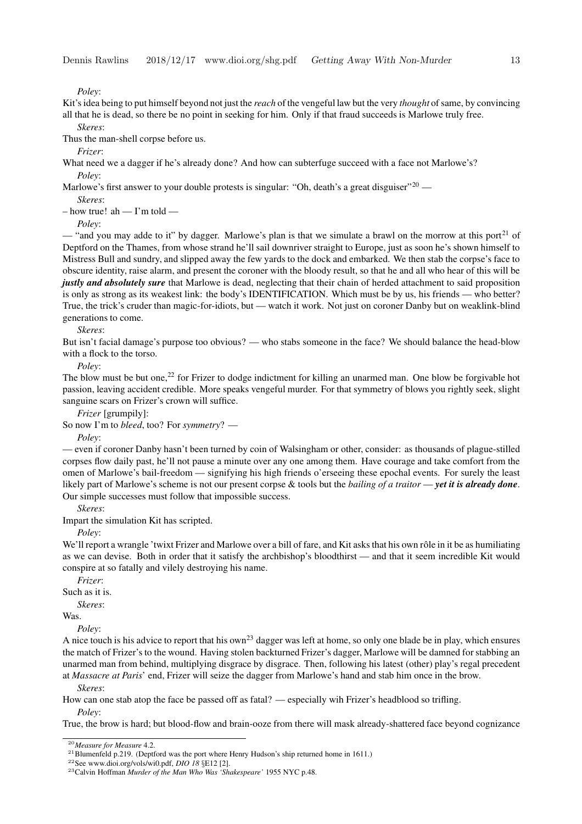*Poley*:

Kit's idea being to put himself beyond not just the *reach* of the vengeful law but the very *thought* ofsame, by convincing all that he is dead, so there be no point in seeking for him. Only if that fraud succeeds is Marlowe truly free.

*Skeres*:

Thus the man-shell corpse before us.

*Frizer*:

What need we a dagger if he's already done? And how can subterfuge succeed with a face not Marlowe's? *Poley*:

Marlowe's first answer to your double protests is singular: "Oh, death's a great disguiser"<sup>20</sup> —

*Skeres*:

 $-$  how true! ah  $-$  I'm told  $-$ 

*Poley*:

 $\cdot$  "and you may adde to it" by dagger. Marlowe's plan is that we simulate a brawl on the morrow at this port<sup>21</sup> of Deptford on the Thames, from whose strand he'll sail downriver straight to Europe, just as soon he's shown himself to Mistress Bull and sundry, and slipped away the few yards to the dock and embarked. We then stab the corpse's face to obscure identity, raise alarm, and present the coroner with the bloody result, so that he and all who hear of this will be *justly and absolutely sure* that Marlowe is dead, neglecting that their chain of herded attachment to said proposition is only as strong as its weakest link: the body's IDENTIFICATION. Which must be by us, his friends — who better? True, the trick's cruder than magic-for-idiots, but — watch it work. Not just on coroner Danby but on weaklink-blind generations to come.

*Skeres*:

But isn't facial damage's purpose too obvious? — who stabs someone in the face? We should balance the head-blow with a flock to the torso.

*Poley*:

The blow must be but one,<sup>22</sup> for Frizer to dodge indictment for killing an unarmed man. One blow be forgivable hot passion, leaving accident credible. More speaks vengeful murder. For that symmetry of blows you rightly seek, slight sanguine scars on Frizer's crown will suffice.

*Frizer* [grumpily]:

So now I'm to *bleed*, too? For *symmetry*? —

*Poley*:

— even if coroner Danby hasn't been turned by coin of Walsingham or other, consider: as thousands of plague-stilled corpses flow daily past, he'll not pause a minute over any one among them. Have courage and take comfort from the omen of Marlowe's bail-freedom — signifying his high friends o'erseeing these epochal events. For surely the least likely part of Marlowe's scheme is not our present corpse & tools but the *bailing of a traitor* — *yet it is already done*. Our simple successes must follow that impossible success.

*Skeres*:

Impart the simulation Kit has scripted.

*Poley*:

We'll report a wrangle 'twixt Frizer and Marlowe over a bill of fare, and Kit asks that his own rôle in it be as humiliating as we can devise. Both in order that it satisfy the archbishop's bloodthirst — and that it seem incredible Kit would conspire at so fatally and vilely destroying his name.

*Frizer*:

Such as it is.

*Skeres*:

Was.

*Poley*:

*Skeres*:

A nice touch is his advice to report that his own<sup>23</sup> dagger was left at home, so only one blade be in play, which ensures the match of Frizer's to the wound. Having stolen backturned Frizer's dagger, Marlowe will be damned for stabbing an unarmed man from behind, multiplying disgrace by disgrace. Then, following his latest (other) play's regal precedent at *Massacre at Paris*' end, Frizer will seize the dagger from Marlowe's hand and stab him once in the brow.

How can one stab atop the face be passed off as fatal? — especially wih Frizer's headblood so trifling. *Poley*:

True, the brow is hard; but blood-flow and brain-ooze from there will mask already-shattered face beyond cognizance

<sup>20</sup>*Measure for Measure* 4.2.

<sup>&</sup>lt;sup>21</sup>Blumenfeld p.219. (Deptford was the port where Henry Hudson's ship returned home in 1611.)

<sup>22</sup>See www.dioi.org/vols/wi0.pdf, *DIO 18* §E12 [2].

<sup>23</sup>Calvin Hoffman *Murder of the Man Who Was 'Shakespeare'* 1955 NYC p.48.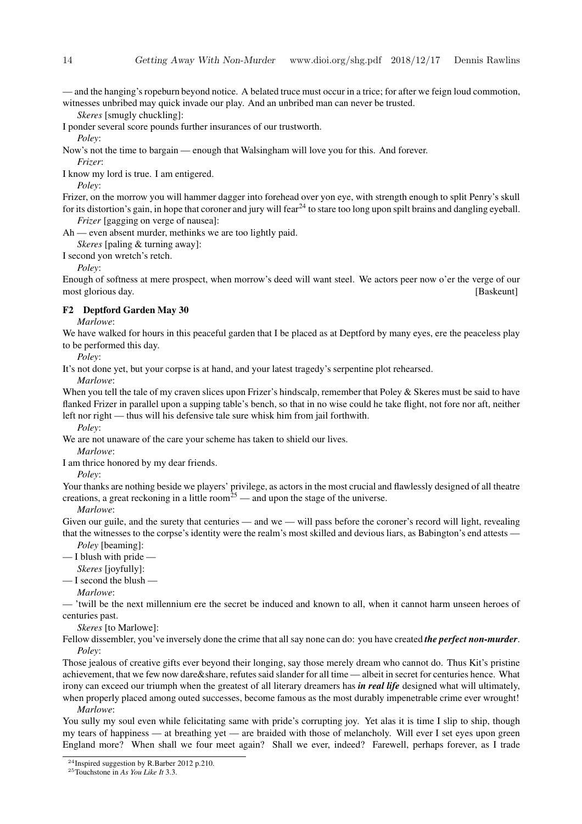— and the hanging's ropeburn beyond notice. A belated truce must occur in a trice; for after we feign loud commotion, witnesses unbribed may quick invade our play. And an unbribed man can never be trusted.

*Skeres* [smugly chuckling]:

I ponder several score pounds further insurances of our trustworth.

*Poley*:

Now's not the time to bargain — enough that Walsingham will love you for this. And forever. *Frizer*:

I know my lord is true. I am entigered.

*Poley*:

Frizer, on the morrow you will hammer dagger into forehead over yon eye, with strength enough to split Penry's skull for its distortion's gain, in hope that coroner and jury will fear<sup>24</sup> to stare too long upon spilt brains and dangling eyeball. *Frizer* [gagging on verge of nausea]:

Ah — even absent murder, methinks we are too lightly paid.

*Skeres* [paling & turning away]:

I second yon wretch's retch.

*Poley*:

Enough of softness at mere prospect, when morrow's deed will want steel. We actors peer now o'er the verge of our most glorious day. **[Baskeunt] Solution Solution Contract of the Contract of the Contract of the Contract of the Contract of the Contract of the Contract of the Contract of the Contract of the Contract of the Contrac** 

#### **F2 Deptford Garden May 30**

*Marlowe*:

We have walked for hours in this peaceful garden that I be placed as at Deptford by many eyes, ere the peaceless play to be performed this day.

*Poley*:

It's not done yet, but your corpse is at hand, and your latest tragedy's serpentine plot rehearsed.

*Marlowe*:

When you tell the tale of my craven slices upon Frizer's hindscalp, remember that Poley & Skeres must be said to have flanked Frizer in parallel upon a supping table's bench, so that in no wise could he take flight, not fore nor aft, neither left nor right — thus will his defensive tale sure whisk him from jail forthwith.

*Poley*:

We are not unaware of the care your scheme has taken to shield our lives.

*Marlowe*:

I am thrice honored by my dear friends.

#### *Poley*:

Your thanks are nothing beside we players' privilege, as actors in the most crucial and flawlessly designed of all theatre creations, a great reckoning in a little room<sup>25</sup> — and upon the stage of the universe.

*Marlowe*:

Given our guile, and the surety that centuries — and we — will pass before the coroner's record will light, revealing that the witnesses to the corpse's identity were the realm's most skilled and devious liars, as Babington's end attests —

*Poley* [beaming]:

 $-$  I blush with pride  $-$ 

*Skeres* [joyfully]:

 $-$  I second the blush

*Marlowe*:

— 'twill be the next millennium ere the secret be induced and known to all, when it cannot harm unseen heroes of centuries past.

*Skeres* [to Marlowe]:

Fellow dissembler, you've inversely done the crime that all say none can do: you have created *the perfect non-murder*. *Poley*:

Those jealous of creative gifts ever beyond their longing, say those merely dream who cannot do. Thus Kit's pristine achievement, that we few now dare&share, refutessaid slander for all time — albeit in secret for centuries hence. What irony can exceed our triumph when the greatest of all literary dreamers has *in real life* designed what will ultimately, when properly placed among outed successes, become famous as the most durably impenetrable crime ever wrought!

*Marlowe*:

You sully my soul even while felicitating same with pride's corrupting joy. Yet alas it is time I slip to ship, though my tears of happiness — at breathing yet — are braided with those of melancholy. Will ever I set eyes upon green England more? When shall we four meet again? Shall we ever, indeed? Farewell, perhaps forever, as I trade

<sup>24</sup>Inspired suggestion by R.Barber 2012 p.210.

<sup>25</sup>Touchstone in *As You Like It* 3.3.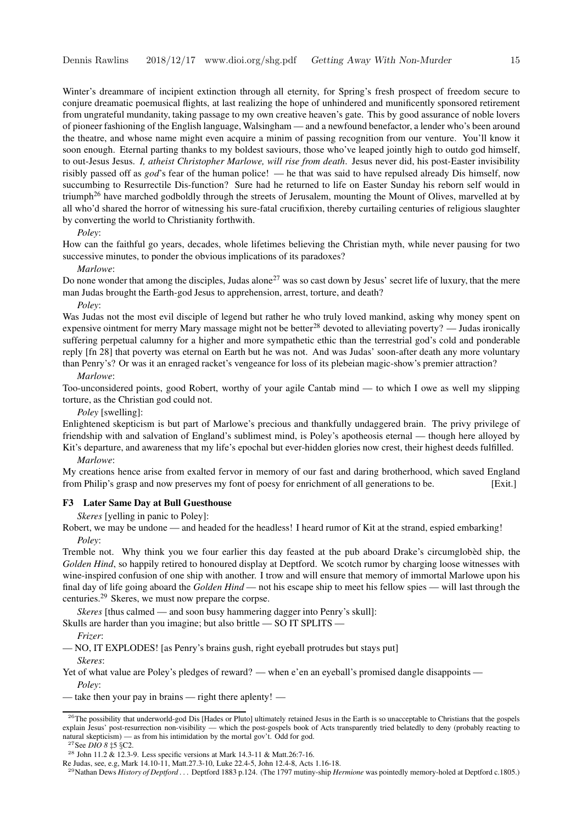Winter's dreammare of incipient extinction through all eternity, for Spring's fresh prospect of freedom secure to conjure dreamatic poemusical flights, at last realizing the hope of unhindered and munificently sponsored retirement from ungrateful mundanity, taking passage to my own creative heaven's gate. This by good assurance of noble lovers of pioneer fashioning of the English language, Walsingham — and a newfound benefactor, a lender who's been around the theatre, and whose name might even acquire a minim of passing recognition from our venture. You'll know it soon enough. Eternal parting thanks to my boldest saviours, those who've leaped jointly high to outdo god himself, to out-Jesus Jesus. *I, atheist Christopher Marlowe, will rise from death*. Jesus never did, his post-Easter invisibility risibly passed off as *god*'s fear of the human police! — he that was said to have repulsed already Dis himself, now succumbing to Resurrectile Dis-function? Sure had he returned to life on Easter Sunday his reborn self would in triumph<sup>26</sup> have marched godboldly through the streets of Jerusalem, mounting the Mount of Olives, marvelled at by all who'd shared the horror of witnessing his sure-fatal crucifixion, thereby curtailing centuries of religious slaughter by converting the world to Christianity forthwith.

*Poley*:

How can the faithful go years, decades, whole lifetimes believing the Christian myth, while never pausing for two successive minutes, to ponder the obvious implications of its paradoxes?

#### *Marlowe*:

Do none wonder that among the disciples, Judas alone<sup>27</sup> was so cast down by Jesus' secret life of luxury, that the mere man Judas brought the Earth-god Jesus to apprehension, arrest, torture, and death?

*Poley*:

Was Judas not the most evil disciple of legend but rather he who truly loved mankind, asking why money spent on expensive ointment for merry Mary massage might not be better<sup>28</sup> devoted to alleviating poverty? — Judas ironically suffering perpetual calumny for a higher and more sympathetic ethic than the terrestrial god's cold and ponderable reply [fn 28] that poverty was eternal on Earth but he was not. And was Judas' soon-after death any more voluntary than Penry's? Or was it an enraged racket's vengeance for loss of its plebeian magic-show's premier attraction?

*Marlowe*:

Too-unconsidered points, good Robert, worthy of your agile Cantab mind — to which I owe as well my slipping torture, as the Christian god could not.

*Poley* [swelling]:

Enlightened skepticism is but part of Marlowe's precious and thankfully undaggered brain. The privy privilege of friendship with and salvation of England's sublimest mind, is Poley's apotheosis eternal — though here alloyed by Kit's departure, and awareness that my life's epochal but ever-hidden glories now crest, their highest deeds fulfilled.

*Marlowe*:

My creations hence arise from exalted fervor in memory of our fast and daring brotherhood, which saved England from Philip's grasp and now preserves my font of poesy for enrichment of all generations to be. [Exit.]

#### **F3 Later Same Day at Bull Guesthouse**

*Skeres* [yelling in panic to Poley]:

Robert, we may be undone — and headed for the headless! I heard rumor of Kit at the strand, espied embarking! *Poley*:

Tremble not. Why think you we four earlier this day feasted at the pub aboard Drake's circumglobed` ship, the *Golden Hind*, so happily retired to honoured display at Deptford. We scotch rumor by charging loose witnesses with wine-inspired confusion of one ship with another. I trow and will ensure that memory of immortal Marlowe upon his final day of life going aboard the *Golden Hind* — not his escape ship to meet his fellow spies — will last through the centuries.<sup>29</sup> Skeres, we must now prepare the corpse.

*Skeres* [thus calmed — and soon busy hammering dagger into Penry's skull]:

Skulls are harder than you imagine; but also brittle — SO IT SPLITS -

*Frizer*:

— NO, IT EXPLODES! [as Penry's brains gush, right eyeball protrudes but stays put]

*Skeres*:

Yet of what value are Poley's pledges of reward? — when e'en an eyeball's promised dangle disappoints — *Poley*:

— take then your pay in brains — right there aplenty! —

<sup>&</sup>lt;sup>26</sup>The possibility that underworld-god Dis [Hades or Pluto] ultimately retained Jesus in the Earth is so unacceptable to Christians that the gospels explain Jesus' post-resurrection non-visibility — which the post-gospels book of Acts transparently tried belatedly to deny (probably reacting to natural skepticism) — as from his intimidation by the mortal gov't. Odd for god.

<sup>27</sup>See *DIO 8* ‡5 §C2.

<sup>&</sup>lt;sup>28</sup> John 11.2 & 12.3-9. Less specific versions at Mark 14.3-11 & Matt.26:7-16.

Re Judas, see, e.g, Mark 14.10-11, Matt.27.3-10, Luke 22.4-5, John 12.4-8, Acts 1.16-18.

<sup>29</sup>Nathan Dews *History of Deptford . . .* Deptford 1883 p.124. (The 1797 mutiny-ship *Hermione* was pointedly memory-holed at Deptford c.1805.)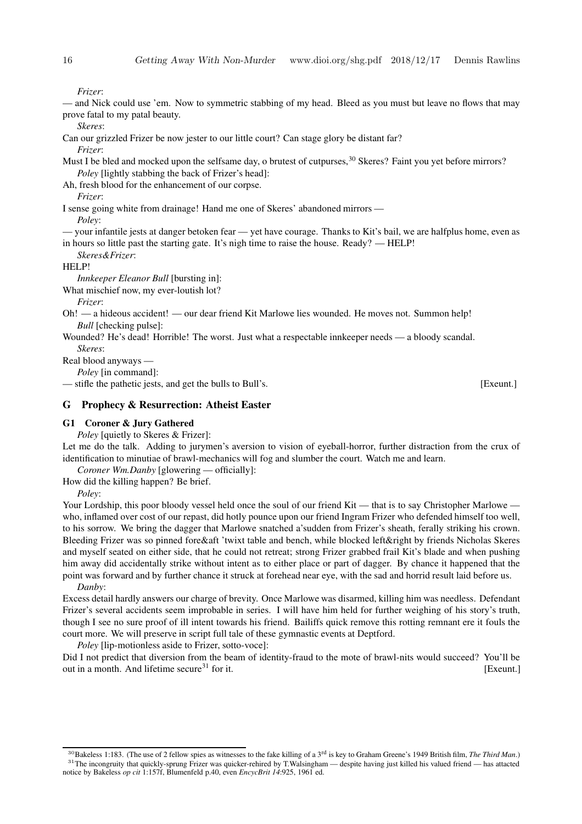*Frizer*:

— and Nick could use 'em. Now to symmetric stabbing of my head. Bleed as you must but leave no flows that may prove fatal to my patal beauty.

*Skeres*:

Can our grizzled Frizer be now jester to our little court? Can stage glory be distant far?

*Frizer*:

Must I be bled and mocked upon the selfsame day, o brutest of cutpurses,<sup>30</sup> Skeres? Faint you yet before mirrors? *Poley* [lightly stabbing the back of Frizer's head]:

Ah, fresh blood for the enhancement of our corpse.

*Frizer*:

I sense going white from drainage! Hand me one of Skeres' abandoned mirrors —

*Poley*:

— your infantile jests at danger betoken fear — yet have courage. Thanks to Kit's bail, we are halfplus home, even as in hours so little past the starting gate. It's nigh time to raise the house. Ready? — HELP!

*Skeres&Frizer*:

HELP!

*Innkeeper Eleanor Bull* [bursting in]:

What mischief now, my ever-loutish lot?

*Frizer*:

- Oh! a hideous accident! our dear friend Kit Marlowe lies wounded. He moves not. Summon help! *Bull* [checking pulse]:
- Wounded? He's dead! Horrible! The worst. Just what a respectable innkeeper needs a bloody scandal. *Skeres*:

Real blood anyways —

*Poley* [in command]:

— stifle the pathetic jests, and get the bulls to Bull's. [Exeunt.]

#### **G Prophecy & Resurrection: Atheist Easter**

#### **G1 Coroner & Jury Gathered**

*Poley* [quietly to Skeres & Frizer]:

Let me do the talk. Adding to jurymen's aversion to vision of eyeball-horror, further distraction from the crux of identification to minutiae of brawl-mechanics will fog and slumber the court. Watch me and learn.

*Coroner Wm.Danby* [glowering — officially]:

How did the killing happen? Be brief.

*Poley*:

Your Lordship, this poor bloody vessel held once the soul of our friend Kit — that is to say Christopher Marlowe who, inflamed over cost of our repast, did hotly pounce upon our friend Ingram Frizer who defended himself too well, to his sorrow. We bring the dagger that Marlowe snatched a'sudden from Frizer's sheath, ferally striking his crown. Bleeding Frizer was so pinned fore&aft 'twixt table and bench, while blocked left&right by friends Nicholas Skeres and myself seated on either side, that he could not retreat; strong Frizer grabbed frail Kit's blade and when pushing him away did accidentally strike without intent as to either place or part of dagger. By chance it happened that the point was forward and by further chance it struck at forehead near eye, with the sad and horrid result laid before us. *Danby*:

Excess detail hardly answers our charge of brevity. Once Marlowe was disarmed, killing him was needless. Defendant Frizer's several accidents seem improbable in series. I will have him held for further weighing of his story's truth, though I see no sure proof of ill intent towards his friend. Bailiffs quick remove this rotting remnant ere it fouls the court more. We will preserve in script full tale of these gymnastic events at Deptford.

*Poley* [lip-motionless aside to Frizer, sotto-voce]:

Did I not predict that diversion from the beam of identity-fraud to the mote of brawl-nits would succeed? You'll be out in a month. And lifetime secure<sup>31</sup> for it. [Exeunt.]

<sup>30</sup>Bakeless 1:183. (The use of 2 fellow spies as witnesses to the fake killing of a 3 rd is key to Graham Greene's 1949 British film, *The Third Man*.) <sup>31</sup>The incongruity that quickly-sprung Frizer was quicker-rehired by T.Walsingham — despite having just killed his valued friend — has attacted notice by Bakeless *op cit* 1:157f, Blumenfeld p.40, even *EncycBrit 14*:925, 1961 ed.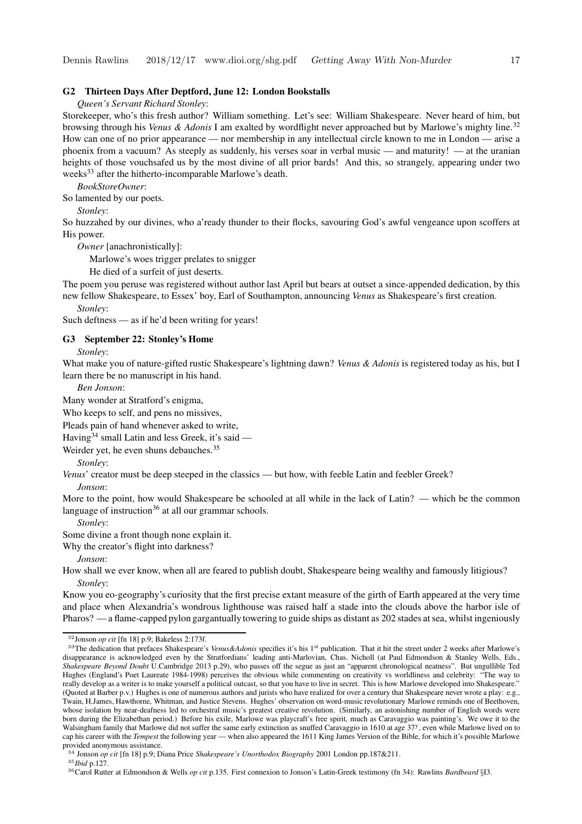#### **G2 Thirteen Days After Deptford, June 12: London Bookstalls**

*Queen's Servant Richard Stonley*:

Storekeeper, who's this fresh author? William something. Let's see: William Shakespeare. Never heard of him, but browsing through his *Venus & Adonis* I am exalted by wordflight never approached but by Marlowe's mighty line.<sup>32</sup> How can one of no prior appearance — nor membership in any intellectual circle known to me in London — arise a phoenix from a vacuum? As steeply as suddenly, his verses soar in verbal music — and maturity! — at the uranian heights of those vouchsafed us by the most divine of all prior bards! And this, so strangely, appearing under two weeks<sup>33</sup> after the hitherto-incomparable Marlowe's death.

*BookStoreOwner*:

So lamented by our poets.

*Stonley*:

So huzzahed by our divines, who a'ready thunder to their flocks, savouring God's awful vengeance upon scoffers at His power.

*Owner* [anachronistically]:

Marlowe's woes trigger prelates to snigger

He died of a surfeit of just deserts.

The poem you peruse was registered without author last April but bears at outset a since-appended dedication, by this new fellow Shakespeare, to Essex' boy, Earl of Southampton, announcing *Venus* as Shakespeare's first creation.

Such deftness — as if he'd been writing for years!

#### **G3 September 22: Stonley's Home**

*Stonley*:

*Stonley*:

What make you of nature-gifted rustic Shakespeare's lightning dawn? *Venus & Adonis* is registered today as his, but I learn there be no manuscript in his hand.

*Ben Jonson*:

Many wonder at Stratford's enigma,

Who keeps to self, and pens no missives,

Pleads pain of hand whenever asked to write,

Having<sup>34</sup> small Latin and less Greek, it's said  $-$ 

Weirder yet, he even shuns debauches.<sup>35</sup>

*Stonley*:

*Venus*' creator must be deep steeped in the classics — but how, with feeble Latin and feebler Greek? *Jonson*:

More to the point, how would Shakespeare be schooled at all while in the lack of Latin? — which be the common language of instruction<sup>36</sup> at all our grammar schools.

*Stonley*:

Some divine a front though none explain it.

Why the creator's flight into darkness?

*Jonson*:

How shall we ever know, when all are feared to publish doubt, Shakespeare being wealthy and famously litigious? *Stonley*:

Know you eo-geography's curiosity that the first precise extant measure of the girth of Earth appeared at the very time and place when Alexandria's wondrous lighthouse was raised half a stade into the clouds above the harbor isle of Pharos? — a flame-capped pylon gargantually towering to guide ships as distant as 202 stades at sea, whilst ingeniously

<sup>34</sup> Jonson *op cit* [fn 18] p.9; Diana Price *Shakespeare's Unorthodox Biography* 2001 London pp.187&211.

<sup>32</sup>Jonson *op cit* [fn 18] p.9; Bakeless 2:173f.

<sup>33</sup>The dedication that prefaces Shakespeare's *Venus&Adonis* specifies it's his 1 st publication. That it hit the street under 2 weeks after Marlowe's disappearance is acknowledged even by the Stratfordians' leading anti-Marlovian, Chas. Nicholl (at Paul Edmondson & Stanley Wells, Eds., *Shakespeare Beyond Doubt* U.Cambridge 2013 p.29), who passes off the segue as just an "apparent chronological neatness". But ungullible Ted Hughes (England's Poet Laureate 1984-1998) perceives the obvious while commenting on creativity vs worldliness and celebrity: "The way to really develop as a writer is to make yourself a political outcast, so that you have to live in secret. This is how Marlowe developed into Shakespeare." (Quoted at Barber p.v.) Hughes is one of numerous authors and jurists who have realized for over a century that Shakespeare never wrote a play: e.g., Twain, H.James, Hawthorne, Whitman, and Justice Stevens. Hughes' observation on word-music revolutionary Marlowe reminds one of Beethoven, whose isolation by near-deafness led to orchestral music's greatest creative revolution. (Similarly, an astonishing number of English words were born during the Elizabethan period.) Before his exile, Marlowe was playcraft's free spirit, much as Caravaggio was painting's. We owe it to the Walsingham family that Marlowe did not suffer the same early extinction as snuffed Caravaggio in 1610 at age 37<sup>y</sup>, even while Marlowe lived on to cap his career with the *Tempest* the following year — when also appeared the 1611 King James Version of the Bible, for which it's possible Marlowe provided anonymous assistance.

<sup>35</sup>*Ibid* p.127.

<sup>36</sup>Carol Rutter at Edmondson & Wells *op cit* p.135. First connexion to Jonson's Latin-Greek testimony (fn 34): Rawlins *Bardbeard* §I3.